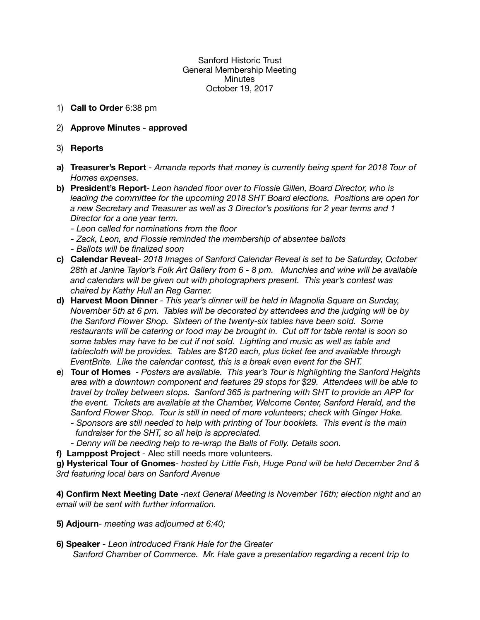## Sanford Historic Trust General Membership Meeting **Minutes** October 19, 2017

- 1) **Call to Order** 6:38 pm
- 2) **Approve Minutes approved**
- 3) **Reports**
- **a) Treasurer's Report**  *Amanda reports that money is currently being spent for 2018 Tour of Homes expenses.*
- **b) President's Report** *Leon handed floor over to Flossie Gillen, Board Director, who is leading the committee for the upcoming 2018 SHT Board elections. Positions are open for a new Secretary and Treasurer as well as 3 Director's positions for 2 year terms and 1 Director for a one year term.* 
	- *Leon called for nominations from the floor*
	- *Zack, Leon, and Flossie reminded the membership of absentee ballots*
	- *Ballots will be finalized soon*
- **c) Calendar Reveal** *2018 Images of Sanford Calendar Reveal is set to be Saturday, October 28th at Janine Taylor's Folk Art Gallery from 6 - 8 pm. Munchies and wine will be available and calendars will be given out with photographers present. This year's contest was chaired by Kathy Hull an Reg Garner.*
- **d) Harvest Moon Dinner**  *This year's dinner will be held in Magnolia Square on Sunday, November 5th at 6 pm. Tables will be decorated by attendees and the judging will be by the Sanford Flower Shop. Sixteen of the twenty-six tables have been sold. Some restaurants will be catering or food may be brought in. Cut off for table rental is soon so some tables may have to be cut if not sold. Lighting and music as well as table and tablecloth will be provides. Tables are \$120 each, plus ticket fee and available through EventBrite. Like the calendar contest, this is a break even event for the SHT.*
- **e**) **Tour of Homes**  *Posters are available. This year's Tour is highlighting the Sanford Heights area with a downtown component and features 29 stops for \$29. Attendees will be able to travel by trolley between stops. Sanford 365 is partnering with SHT to provide an APP for the event. Tickets are available at the Chamber, Welcome Center, Sanford Herald, and the Sanford Flower Shop. Tour is still in need of more volunteers; check with Ginger Hoke.* 
	- *Sponsors are still needed to help with printing of Tour booklets. This event is the main fundraiser for the SHT, so all help is appreciated.*
	- *Denny will be needing help to re-wrap the Balls of Folly. Details soon.*
- **f) Lamppost Project**  Alec still needs more volunteers.

**g) Hysterical Tour of Gnomes***- hosted by Little Fish, Huge Pond will be held December 2nd & 3rd featuring local bars on Sanford Avenue* 

**4) Confirm Next Meeting Date** *-next General Meeting is November 16th; election night and an email will be sent with further information.*

- **5) Adjourn** *meeting was adjourned at 6:40;*
- **6) Speaker**  *Leon introduced Frank Hale for the Greater Sanford Chamber of Commerce. Mr. Hale gave a presentation regarding a recent trip to*